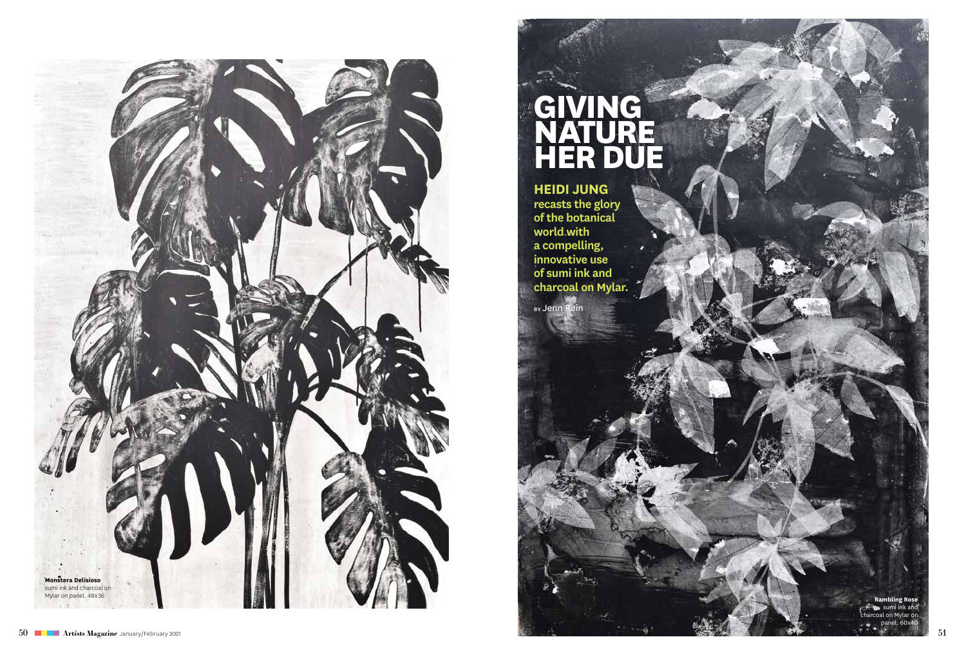

# **Givin g Nature Her Due**

**Heidi Jung recasts the glory of the botanical world with a compelling, innovative use of sumi ink and charcoal on Mylar.**

By Jenn Rein

sumi ink and charcoal on Mylar on panel, 60x40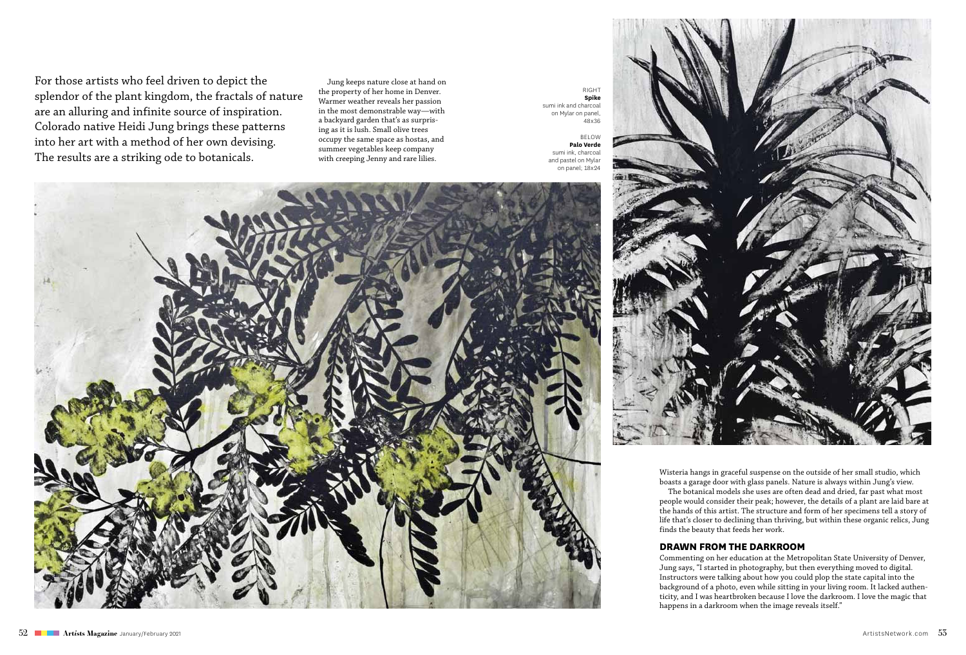For those artists who feel driven to depict the splendor of the plant kingdom, the fractals of nature are an alluring and infinite source of inspiration. Colorado native Heidi Jung brings these patterns into her art with a method of her own devising. The results are a striking ode to botanicals.

Jung keeps nature close at hand on the property of her home in Denver. Warmer weather reveals her passion in the most demonstrable way—with a backyard garden that's as surprising as it is lush. Small olive trees occupy the same space as hostas, and summer vegetables keep company with creeping Jenny and rare lilies.

right **Spike** sumi ink and charcoal on Mylar on panel, 48x36

below **Palo Verde** sumi ink, charcoal and pastel on Mylar on panel; 18x24





Wisteria hangs in graceful suspense on the outside of her small studio, which boasts a garage door with glass panels. Nature is always within Jung's view.

The botanical models she uses are often dead and dried, far past what most people would consider their peak; however, the details of a plant are laid bare at the hands of this artist. The structure and form of her specimens tell a story of life that's closer to declining than thriving, but within these organic relics, Jung finds the beauty that feeds her work.

## **Drawn From the Darkroom**

Commenting on her education at the Metropolitan State University of Denver, Jung says, "I started in photography, but then everything moved to digital. Instructors were talking about how you could plop the state capital into the background of a photo, even while sitting in your living room. It lacked authenticity, and I was heartbroken because I love the darkroom. I love the magic that happens in a darkroom when the image reveals itself."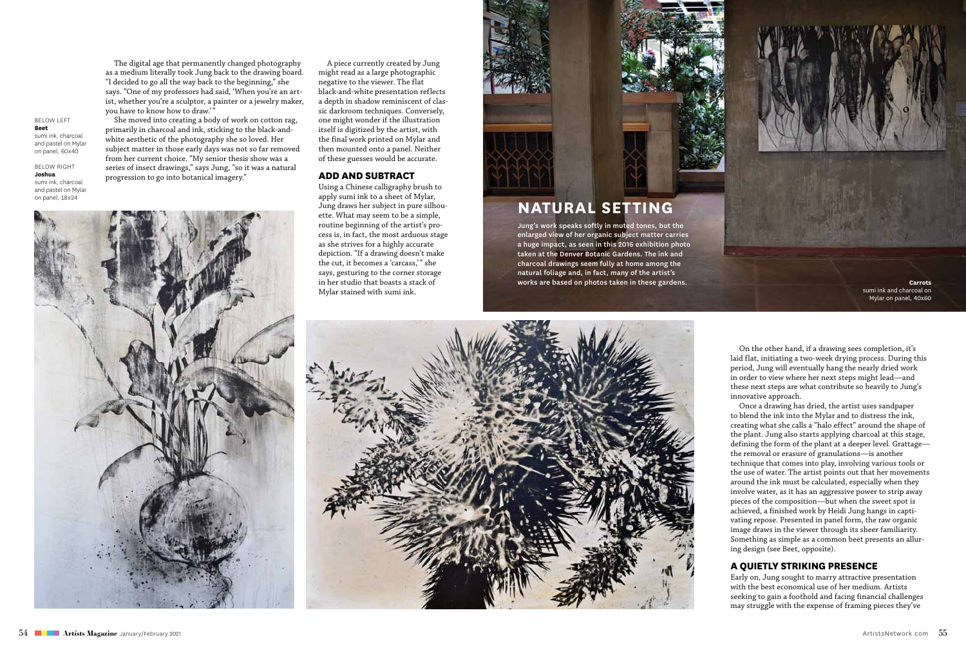The digital age that permanently changed photography as a medium literally took Jung back to the drawing board. "I decided to go all the way back to the beginning," she says. "One of my professors had said, 'When you're an artist, whether you're a sculptor, a painter or a jewelry maker, you have to know how to draw.'" She moved into creating a body of work on cotton rag,

primarily in charcoal and ink, sticking to the black-andwhite aesthetic of the photography she so loved. Her subject matter in those early days was not so far removed from her current choice. "My senior thesis show was a series of insect drawings," says Jung, "so it was a natural

progression to go into botanical imagery."

below left **Beet** sumi ink, charcoal and pastel on Mylar on panel, 60x40

**BELOW RIGHT Joshua**

sumi ink, charcoal and pastel on Mylar on panel; 18x24



A piece currently created by Jung might read as a large photographic negative to the viewer. The flat black-and-white presentation reflects a depth in shadow reminiscent of classic darkroom techniques. Conversely, one might wonder if the illustration itself is digitized by the artist, with the final work printed on Mylar and then mounted onto a panel. Neither of these guesses would be accurate.

## **Add and Subtract**

Using a Chinese calligraphy brush to apply sumi ink to a sheet of Mylar, Jung draws her subject in pure silhouette. What may seem to be a simple, routine beginning of the artist's process is, in fact, the most arduous stage as she strives for a highly accurate depiction. "If a drawing doesn't make the cut, it becomes a 'carcass,'" she says, gesturing to the corner storage in her studio that boasts a stack of Mylar stained with sumi ink.



## **Natural Setting**

Jung's work speaks softly in muted tones, but the enlarged view of her organic subject matter carries a huge impact, as seen in this 2016 exhibition photo taken at the Denver Botanic Gardens. The ink and charcoal drawings seem fully at home among the natural foliage and, in fact, many of the artist's works are based on photos taken in these gardens.

**Carrots** sumi ink and charcoal on Mylar on panel, 40x60



On the other hand, if a drawing sees completion, it's laid flat, initiating a two-week drying process. During this period, Jung will eventually hang the nearly dried work in order to view where her next steps might lead—and these next steps are what contribute so heavily to Jung's innovative approach.

Once a drawing has dried, the artist uses sandpaper to blend the ink into the Mylar and to distress the ink, creating what she calls a "halo effect" around the shape of the plant. Jung also starts applying charcoal at this stage, defining the form of the plant at a deeper level. Grattage the removal or erasure of granulations—is another technique that comes into play, involving various tools or the use of water. The artist points out that her movements around the ink must be calculated, especially when they involve water, as it has an aggressive power to strip away pieces of the composition—but when the sweet spot is achieved, a finished work by Heidi Jung hangs in captivating repose. Presented in panel form, the raw organic image draws in the viewer through its sheer familiarity. Something as simple as a common beet presents an alluring design (see Beet, opposite).

## **A Quietly Striking Presence**

Early on, Jung sought to marry attractive presentation with the best economical use of her medium. Artists seeking to gain a foothold and facing financial challenges may struggle with the expense of framing pieces they've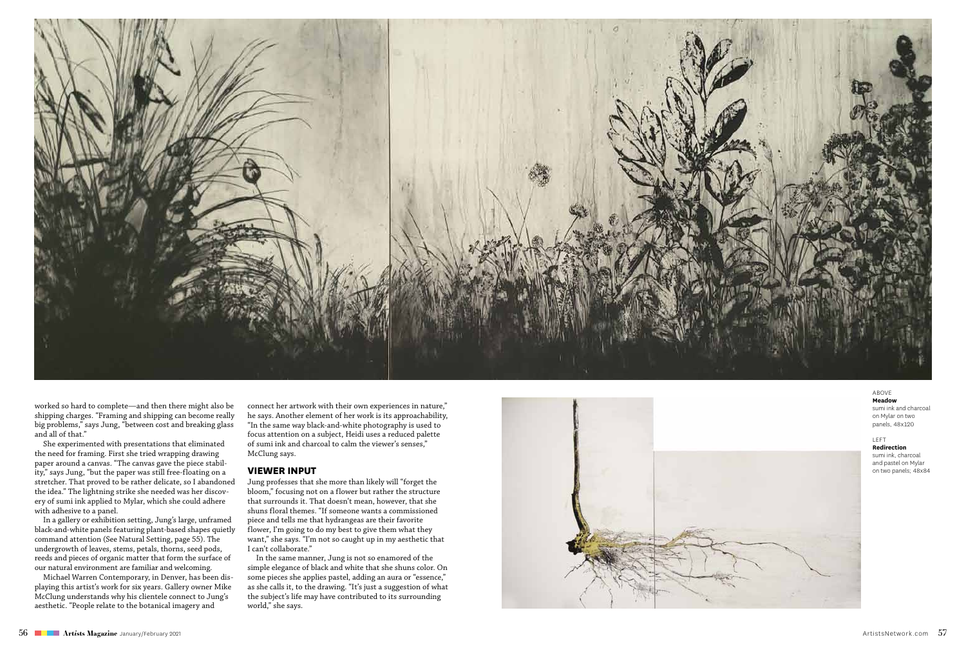

worked so hard to complete—and then there might also be shipping charges. "Framing and shipping can become really big problems," says Jung, "between cost and breaking glass and all of that."

She experimented with presentations that eliminated the need for framing. First she tried wrapping drawing paper around a canvas. "The canvas gave the piece stabil ity," says Jung, "but the paper was still free-floating on a stretcher. That proved to be rather delicate, so I abandoned the idea." The lightning strike she needed was her discov ery of sumi ink applied to Mylar, which she could adhere with adhesive to a panel.

In a gallery or exhibition setting, Jung's large, unframed black-and-white panels featuring plant-based shapes quietly command attention (See Natural Setting, page 55). The undergrowth of leaves, stems, petals, thorns, seed pods, reeds and pieces of organic matter that form the surface of our natural environment are familiar and welcoming.

Michael Warren Contemporary, in Denver, has been dis playing this artist's work for six years. Gallery owner Mike McClung understands why his clientele connect to Jung's aesthetic. "People relate to the botanical imagery and

connect her artwork with their own experiences in nature," he says. Another element of her work is its approachability, "In the same way black-and-white photography is used to focus attention on a subject, Heidi uses a reduced palette of sumi ink and charcoal to calm the viewer's senses," McClung says.

## **Viewer In put**

Jung professes that she more than likely will "forget the bloom," focusing not on a flower but rather the structure that surrounds it. That doesn't mean, however, that she shuns floral themes. "If someone wants a commissioned piece and tells me that hydrangeas are their favorite flower, I'm going to do my best to give them what they want," she says. "I'm not so caught up in my aesthetic that I can't collaborate."

In the same manner, Jung is not so enamored of the simple elegance of black and white that she shuns color. On some pieces she applies pastel, adding an aura or "essence," as she calls it, to the drawing. "It's just a suggestion of what the subject's life may have contributed to its surrounding world," she says.



above **Meadow** sumi ink and charcoal on Mylar on two panels, 48x120

#### LEFT f

**Redirection** sumi ink, charcoal and pastel on Mylar on two panels; 48x84